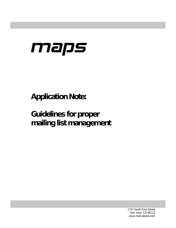# maps

**Application Note:** 

**Guidelines for proper mailing list management** 

> 1737 North First Street San Jose, CA 95112 www.mail-abuse.com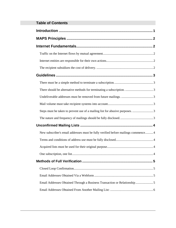| <b>Table of Contents</b> |  |
|--------------------------|--|
|                          |  |

| Steps must be taken to prevent use of a mailing list for abusive purposes. 3       |
|------------------------------------------------------------------------------------|
|                                                                                    |
|                                                                                    |
| New subscriber's email addresses must be fully verified before mailings commence 4 |
|                                                                                    |
|                                                                                    |
|                                                                                    |
|                                                                                    |
|                                                                                    |
|                                                                                    |
| Email Addresses Obtained Through a Business Transaction or Relationship5           |
|                                                                                    |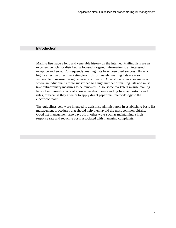#### <span id="page-2-0"></span>**Introduction**

Mailing lists have a long and venerable history on the Internet. Mailing lists are an excellent vehicle for distributing focused, targeted information to an interested, receptive audience. Consequently, mailing lists have been used successfully as a highly effective direct marketing tool. Unfortunately, mailing lists are also vulnerable to misuse through a variety of means. An all-too-common example is where an individual is forge subscribed to a high number of mailing lists and must take extraordinary measures to be removed. Also, some marketers misuse mailing lists, often through a lack of knowledge about longstanding Internet customs and rules, or because they attempt to apply direct paper mail methodology to the electronic realm.

The guidelines below are intended to assist list administrators in establishing basic list management procedures that should help them avoid the most common pitfalls. Good list management also pays off in other ways such as maintaining a high response rate and reducing costs associated with managing complaints.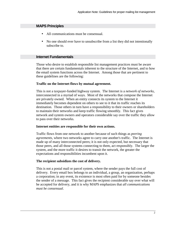# <span id="page-3-0"></span>**MAPS Principles**

- All communications must be consensual.
- No one should ever have to unsubscribe from a list they did not intentionally subscribe to.

# **Internet Fundamentals**

Those who desire to establish responsible list management practices must be aware that there are certain fundamentals inherent to the structure of the Internet, and to how the email system functions across the Internet. Among those that are pertinent to these guidelines are the following:

## **Traffic on the Internet flows by mutual agreement.**

This is not a taxpayer-funded highway system. The Internet is a *network of networks*, interconnected in a myriad of ways. Most of the networks that compose the Internet are privately owned. When an entity connects its system to the Internet it immediately becomes dependent on others to see to it that its traffic reaches its destination. Those others in turn have a responsibility to their owners or shareholders to maintain their networks and keep traffic flowing smoothly. This fact gives network and system owners and operators considerable say over the traffic they allow to pass over their networks.

#### **Internet entities are responsible for their own actions.**

Traffic flows from one network to another because of such things as *peering agreements,* where two networks agree to carry one another's traffic. The Internet is made up of many interconnected peers; it is not only expected, but necessary that those peers, and all those systems connecting to them, act responsibly. The larger the system, and the more traffic it desires to transit the network, the greater the expectations and responsibilities incumbent upon it.

# **The recipient subsidizes the cost of delivery.**

This is not a postal mail or parcel system, where the sender pays the full cost of delivery. Every email box belongs to an individual, a group, an organization, perhaps a corporation; in any event, its existence is most often paid for by someone besides the sender of a message. This fact gives the recipient considerable say over what will be accepted for delivery, and it is why MAPS emphasizes that *all communications must be consensual*.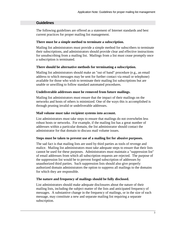# <span id="page-4-0"></span>**Guidelines**

The following guidelines are offered as a statement of Internet standards and best current practices for proper mailing list management.

## **There must be a simple method to terminate a subscription.**

Mailing list administrators must provide a simple method for subscribers to terminate their subscriptions, and administrators should provide clear and effective instructions for unsubscribing from a mailing list. Mailings from a list must cease promptly once a subscription is terminated.

## **There should be alternative methods for terminating a subscription.**

Mailing list administrators should make an "out of band" procedure (e.g., an email address to which messages may be sent for further contact via email or telephone) available for those who wish to terminate their mailing list subscriptions but are unable or unwilling to follow standard automated procedures.

## **Undeliverable addresses must be removed from future mailings.**

Mailing list administrators must ensure that the impact of their mailings on the networks and hosts of others is minimized. One of the ways this is accomplished is through pruning invalid or undeliverable addresses.

## **Mail volume must take recipient systems into account.**

List administrators must take steps to ensure that mailings do not overwhelm less robust hosts or networks. For example, if the mailing list has a great number of addresses within a particular domain, the list administrator should contact the administrator for that domain to discuss mail volume issues.

#### **Steps must be taken to prevent use of a mailing list for abusive purposes.**

The sad fact is that mailing lists are used by third parties as tools of revenge and malice. Mailing list administrators must take adequate steps to ensure that their lists cannot be used for these purposes. Administrators must maintain a "suppression list" of email addresses from which all subscription requests are rejected. The purpose of the suppression list would be to prevent forged subscription of addresses by unauthorized third parties. Such suppression lists should also give properly authorized domain administrators the option to suppress all mailings to the domains for which they are responsible.

# **The nature and frequency of mailings should be fully disclosed.**

List administrators should make adequate disclosures about the nature of their mailing lists, including the subject matter of the lists and anticipated frequency of messages. A substantive change in the frequency of mailings, or in the size of each message, may constitute a new and separate mailing list requiring a separate subscription.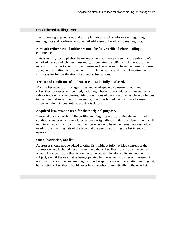## <span id="page-5-0"></span>**Unconfirmed Mailing Lists**

The following explanations and examples are offered as information regarding mailing lists and confirmation of email addresses to be added to mailing lists.

#### **New subscriber's email addresses must be fully verified before mailings commence.**

This is usually accomplished by means of an email message sent to the subscriber's email address to which they must reply, or containing a URL which the subscriber must visit, in order to confirm their desire and permission to have their email address added to the mailing list. However it is implemented, a fundamental requirement of all lists is for full verification of all new subscriptions.

#### **Terms and conditions of address use must be fully disclosed.**

Mailing list owners or managers must make adequate disclosures about how subscriber addresses will be used, including whether or not addresses are subject to sale or trade with other parties. Also, conditions of use should be visible and obvious to the potential subscriber. For example, two lines buried deep within a license agreement do not constitute adequate disclosure.

## **Acquired lists must be used for their original purpose.**

Those who are acquiring fully verified mailing lists must examine the terms and conditions under which the addresses were originally compiled and determine that all recipients have in fact confirmed their permission to have their email address added to additional mailing lists of the type that the person acquiring the list intends to operate.

#### **One subscription, one list.**

Addresses should not be added to other lists without fully verified consent of the address owner. It should never be assumed that subscribers to a list on one subject want to be added to another list on the same subject, let alone a list on another subject, even if the new list is being operated by the same list owner or manager. A notification about the new mailing list may be appropriate on the existing mailing list, but existing subscribers should never be subscribed automatically to the new list.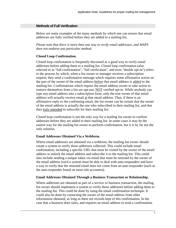# <span id="page-6-0"></span>**Methods of Full Verification**

Below are some examples of the many methods by which one can ensure that email addresses are fully verified before they are added to a mailing list.

*Please note that there is more then one way to verify email addresses, and MAPS does not endorse any particular method.*

# **Closed Loop Confirmation.**

Closed loop confirmation is frequently discussed as a good way to verify email addresses before adding them to a mailing list. Closed loop confirmation (also referred to as "full confirmation", "full verification", and even "double opt-in") refers to the process by which, when a list owner or manager receives a subscription request, they send a confirmation message which requires some affirmative action on the part of the owner of the email address before that email address is added to the mailing list. Confirmations which require the email address owner to take action to remove themselves from a list are opt-out, NOT verified opt-in. While anybody can type any email address into a subscription form, only the true owner of that email address will actually receive email at that email address. Thus, if there is an affirmative reply to the confirming email, the list owner can be certain that the owner of the email address is actually the one who subscribed to their mailing list, and that they truly intended to subscribe for their mailing list.

Closed loop confirmation is not the only way for a mailing list owner to confirm addresses before they are added to their mailing list. In some cases it may be the easiest way for the mailing list owner to perform confirmation, but it is by far not the only solution.

# **Email Addresses Obtained Via a Webform.**

Where email addresses are obtained via a webform, the mailing list owner should create a system to verify those addresses collected. This could include email confirmation, including a specific URL that must be visited by the owner of the email address to unlock the email address and subscribe it to the mailing list. This could also include sending a unique token via email that must be returned by the owner of the email address (such a system must be able to deal with auto-responders and have a way to verify that the returned email does not come from an auto-responder (such as the auto-responder found on most role accounts)).

# **Email Addresses Obtained Through a Business Transaction or Relationship.**

Where addresses are obtained as part of a service or business transaction, the mailing list owner should implement a system to verify those addresses before adding them to the mailing list. This could be done by using the email confirmation technique. It could also be done by contacting the owner of the email address from other information obtained, as long as there are records kept of this confirmation. In the case that a business does sales, and requires an email address to send a confirmation